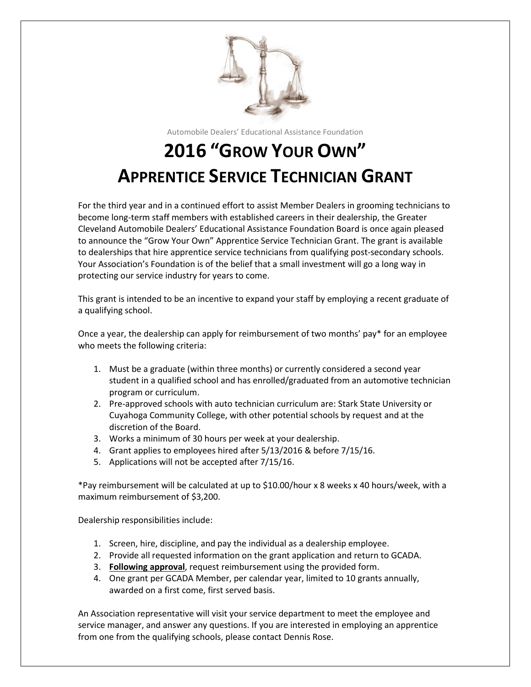

Automobile Dealers' Educational Assistance Foundation

## **2016 "GROW YOUR OWN" APPRENTICE SERVICE TECHNICIAN GRANT**

For the third year and in a continued effort to assist Member Dealers in grooming technicians to become long-term staff members with established careers in their dealership, the Greater Cleveland Automobile Dealers' Educational Assistance Foundation Board is once again pleased to announce the "Grow Your Own" Apprentice Service Technician Grant. The grant is available to dealerships that hire apprentice service technicians from qualifying post-secondary schools. Your Association's Foundation is of the belief that a small investment will go a long way in protecting our service industry for years to come.

This grant is intended to be an incentive to expand your staff by employing a recent graduate of a qualifying school.

Once a year, the dealership can apply for reimbursement of two months' pay\* for an employee who meets the following criteria:

- 1. Must be a graduate (within three months) or currently considered a second year student in a qualified school and has enrolled/graduated from an automotive technician program or curriculum.
- 2. Pre-approved schools with auto technician curriculum are: Stark State University or Cuyahoga Community College, with other potential schools by request and at the discretion of the Board.
- 3. Works a minimum of 30 hours per week at your dealership.
- 4. Grant applies to employees hired after 5/13/2016 & before 7/15/16.
- 5. Applications will not be accepted after 7/15/16.

\*Pay reimbursement will be calculated at up to \$10.00/hour x 8 weeks x 40 hours/week, with a maximum reimbursement of \$3,200.

Dealership responsibilities include:

- 1. Screen, hire, discipline, and pay the individual as a dealership employee.
- 2. Provide all requested information on the grant application and return to GCADA.
- 3. **Following approval**, request reimbursement using the provided form.
- 4. One grant per GCADA Member, per calendar year, limited to 10 grants annually, awarded on a first come, first served basis.

An Association representative will visit your service department to meet the employee and service manager, and answer any questions. If you are interested in employing an apprentice from one from the qualifying schools, please contact Dennis Rose.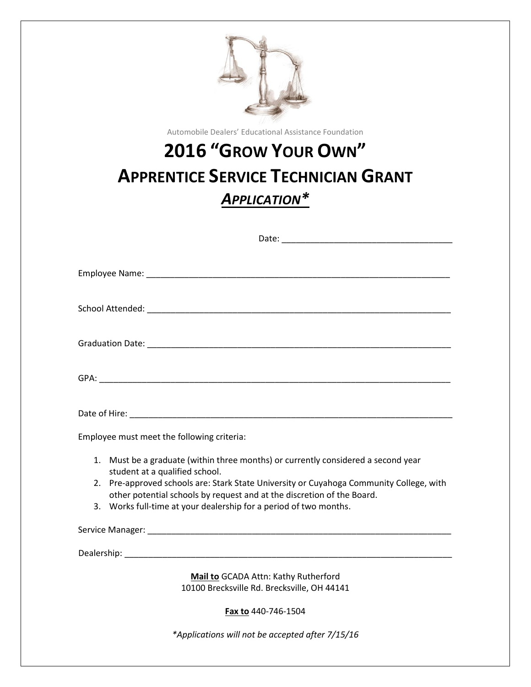| Automobile Dealers' Educational Assistance Foundation                                                                                                                                                                                                                                                                                                         |
|---------------------------------------------------------------------------------------------------------------------------------------------------------------------------------------------------------------------------------------------------------------------------------------------------------------------------------------------------------------|
| <b>2016 "GROW YOUR OWN"</b>                                                                                                                                                                                                                                                                                                                                   |
| <b>APPRENTICE SERVICE TECHNICIAN GRANT</b>                                                                                                                                                                                                                                                                                                                    |
| <b>APPLICATION*</b>                                                                                                                                                                                                                                                                                                                                           |
|                                                                                                                                                                                                                                                                                                                                                               |
|                                                                                                                                                                                                                                                                                                                                                               |
|                                                                                                                                                                                                                                                                                                                                                               |
|                                                                                                                                                                                                                                                                                                                                                               |
|                                                                                                                                                                                                                                                                                                                                                               |
| Date of Hire: National Accounts and Accounts and Accounts and Accounts and Accounts and Accounts and Accounts and                                                                                                                                                                                                                                             |
| Employee must meet the following criteria:                                                                                                                                                                                                                                                                                                                    |
| 1. Must be a graduate (within three months) or currently considered a second year<br>student at a qualified school.<br>2. Pre-approved schools are: Stark State University or Cuyahoga Community College, with<br>other potential schools by request and at the discretion of the Board.<br>3. Works full-time at your dealership for a period of two months. |
|                                                                                                                                                                                                                                                                                                                                                               |
|                                                                                                                                                                                                                                                                                                                                                               |
| Mail to GCADA Attn: Kathy Rutherford<br>10100 Brecksville Rd. Brecksville, OH 44141                                                                                                                                                                                                                                                                           |
| Fax to 440-746-1504                                                                                                                                                                                                                                                                                                                                           |
| *Applications will not be accepted after 7/15/16                                                                                                                                                                                                                                                                                                              |
|                                                                                                                                                                                                                                                                                                                                                               |